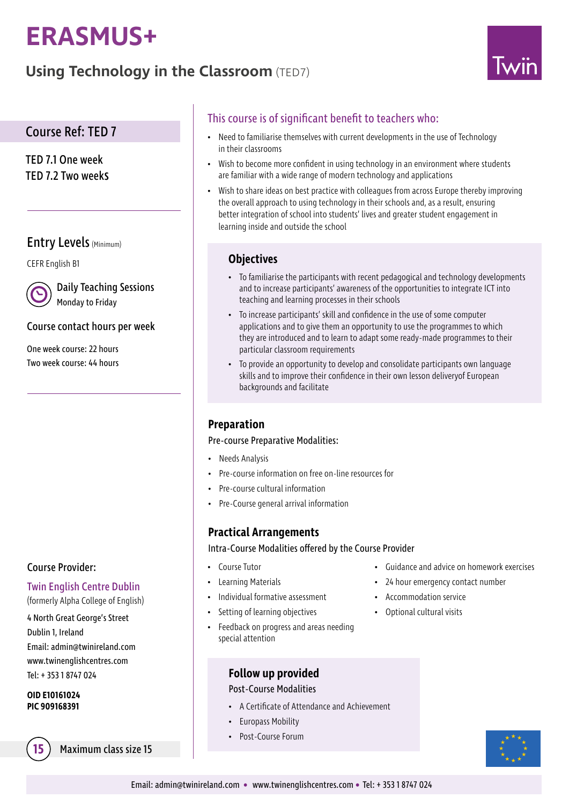# **ERASMUS+**

# **Using Technology in the Classroom** (TED7)



# Course Ref: TED 7

TED 7.1 One week TED 7.2 Two weeks

# Entry Levels (Minimum)

CEFR English B1



Daily Teaching Sessions Monday to Friday

#### Course contact hours per week

One week course: 22 hours Two week course: 44 hours

## Course Provider:

## Twin English Centre Dublin

(formerly Alpha College of English)

4 North Great George's Street Dublin 1, Ireland Email: admin@twinireland.com www.twinenglishcentres.com Tel: + 353 1 8747 024

#### **OID E10161024 PIC 909168391**

**15** Maximum class size 15

# This course is of significant benefit to teachers who:

- Need to familiarise themselves with current developments in the use of Technology in their classrooms
- Wish to become more confident in using technology in an environment where students are familiar with a wide range of modern technology and applications
- Wish to share ideas on best practice with colleagues from across Europe thereby improving the overall approach to using technology in their schools and, as a result, ensuring better integration of school into students' lives and greater student engagement in learning inside and outside the school

# **Objectives**

- To familiarise the participants with recent pedagogical and technology developments and to increase participants' awareness of the opportunities to integrate ICT into teaching and learning processes in their schools
- To increase participants' skill and confidence in the use of some computer applications and to give them an opportunity to use the programmes to which they are introduced and to learn to adapt some ready-made programmes to their particular classroom requirements
- To provide an opportunity to develop and consolidate participants own language skills and to improve their confidence in their own lesson deliveryof European backgrounds and facilitate

# **Preparation**

#### Pre-course Preparative Modalities:

- Needs Analysis
- Pre-course information on free on-line resources for
- Pre-course cultural information
- Pre-Course general arrival information

# **Practical Arrangements**

#### Intra-Course Modalities offered by the Course Provider

- Course Tutor
- Learning Materials
- Individual formative assessment
- Setting of learning objectives
- Feedback on progress and areas needing special attention

# **Follow up provided**

#### Post-Course Modalities

- A Certificate of Attendance and Achievement
- Europass Mobility
- Post-Course Forum
- Guidance and advice on homework exercises
- 24 hour emergency contact number
- Accommodation service
- Optional cultural visits

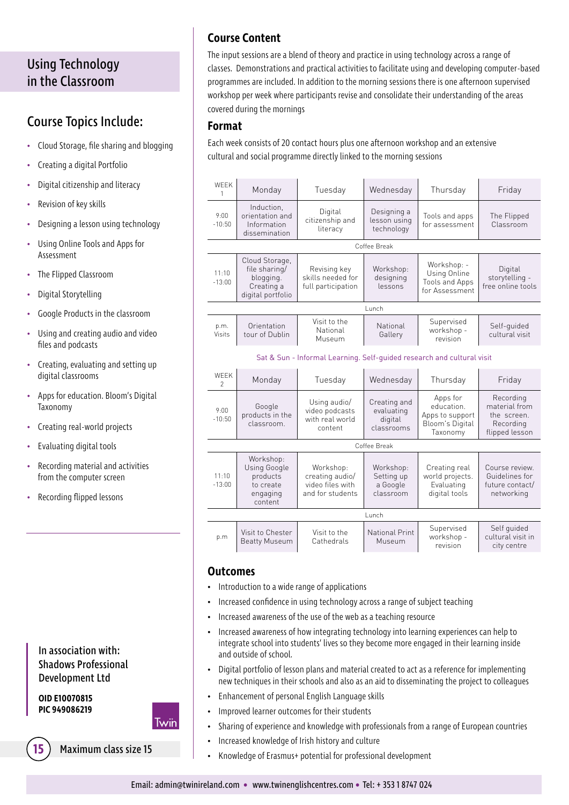# Using Technology in the Classroom

# Course Topics Include:

- Cloud Storage, file sharing and blogging
- Creating a digital Portfolio
- Digital citizenship and literacy
- Revision of key skills
- Designing a lesson using technology
- Using Online Tools and Apps for Assessment
- The Flipped Classroom
- Digital Storytelling
- Google Products in the classroom
- Using and creating audio and video files and podcasts
- Creating, evaluating and setting up digital classrooms
- Apps for education. Bloom's Digital Taxonomy
- Creating real-world projects
- Evaluating digital tools
- Recording material and activities from the computer screen
- Recording flipped lessons

# In association with: Shadows Professional Development Ltd

**OID E10070815 PIC 949086219**



**15** Maximum class size 15

# **Course Content**

The input sessions are a blend of theory and practice in using technology across a range of classes. Demonstrations and practical activities to facilitate using and developing computer-based programmes are included. In addition to the morning sessions there is one afternoon supervised workshop per week where participants revise and consolidate their understanding of the areas covered during the mornings

#### **Format**

Each week consists of 20 contact hours plus one afternoon workshop and an extensive cultural and social programme directly linked to the morning sessions

| <b>WEEK</b><br>1                                                       | Monday                                                                          | Tuesday                                                              | Wednesday                                           | Thursday                                                                 | Friday                                                                   |  |
|------------------------------------------------------------------------|---------------------------------------------------------------------------------|----------------------------------------------------------------------|-----------------------------------------------------|--------------------------------------------------------------------------|--------------------------------------------------------------------------|--|
| 9:00<br>$-10:50$                                                       | Induction,<br>orientation and<br>Information<br>dissemination                   | Digital<br>citizenship and<br>literacy                               | Designing a<br>lesson using<br>technology           | Tools and apps<br>for assessment                                         | The Flipped<br>Classroom                                                 |  |
| Coffee Break                                                           |                                                                                 |                                                                      |                                                     |                                                                          |                                                                          |  |
| 11:10<br>$-13:00$                                                      | Cloud Storage,<br>file sharing/<br>blogging.<br>Creating a<br>digital portfolio | Revising key<br>skills needed for<br>full participation              | Workshop:<br>designing<br>lessons                   | Workshop: -<br>Using Online<br>Tools and Apps<br>for Assessment          | Digital<br>storytelling -<br>free online tools                           |  |
| Lunch                                                                  |                                                                                 |                                                                      |                                                     |                                                                          |                                                                          |  |
| p.m.<br><b>Visits</b>                                                  | Orientation<br>tour of Dublin                                                   | Visit to the<br>National<br>Museum                                   | National<br>Gallery                                 | Supervised<br>workshop -<br>revision                                     | Self-quided<br>cultural visit                                            |  |
| Sat & Sun - Informal Learning. Self-quided research and cultural visit |                                                                                 |                                                                      |                                                     |                                                                          |                                                                          |  |
| <b>WFFK</b><br>$\mathfrak{D}$                                          | Monday                                                                          | Tuesday                                                              | Wednesday                                           | Thursday                                                                 | Friday                                                                   |  |
| 9:00<br>$-10:50$                                                       | Google<br>products in the<br>classroom.                                         | Using audio/<br>video podcasts<br>with real world<br>content         | Creating and<br>evaluating<br>digital<br>classrooms | Apps for<br>education.<br>Apps to support<br>Bloom's Digital<br>Taxonomy | Recording<br>material from<br>the screen.<br>Recording<br>flipped lesson |  |
| Coffee Break                                                           |                                                                                 |                                                                      |                                                     |                                                                          |                                                                          |  |
| 11:10<br>$-13:00$                                                      | Workshop:<br>Using Google<br>products<br>to create<br>engaging<br>content       | Workshop:<br>creating audio/<br>video files with<br>and for students | Workshop:<br>Setting up<br>a Google<br>classroom    | Creating real<br>world projects.<br>Evaluating<br>digital tools          | Course review.<br>Guidelines for<br>future contact/<br>networking        |  |
| Lunch                                                                  |                                                                                 |                                                                      |                                                     |                                                                          |                                                                          |  |
| p.m                                                                    | Visit to Chester<br><b>Beatty Museum</b>                                        | Visit to the<br>Cathedrals                                           | National Print<br>Museum                            | Supervised<br>workshop -<br>revision                                     | Self quided<br>cultural visit in<br>city centre                          |  |

#### **Outcomes**

- Introduction to a wide range of applications
- Increased confidence in using technology across a range of subject teaching
- Increased awareness of the use of the web as a teaching resource
- Increased awareness of how integrating technology into learning experiences can help to integrate school into students' lives so they become more engaged in their learning inside and outside of school.
- Digital portfolio of lesson plans and material created to act as a reference for implementing new techniques in their schools and also as an aid to disseminating the project to colleagues
- Enhancement of personal English Language skills
- Improved learner outcomes for their students
- Sharing of experience and knowledge with professionals from a range of European countries
- Increased knowledge of Irish history and culture
- Knowledge of Erasmus+ potential for professional development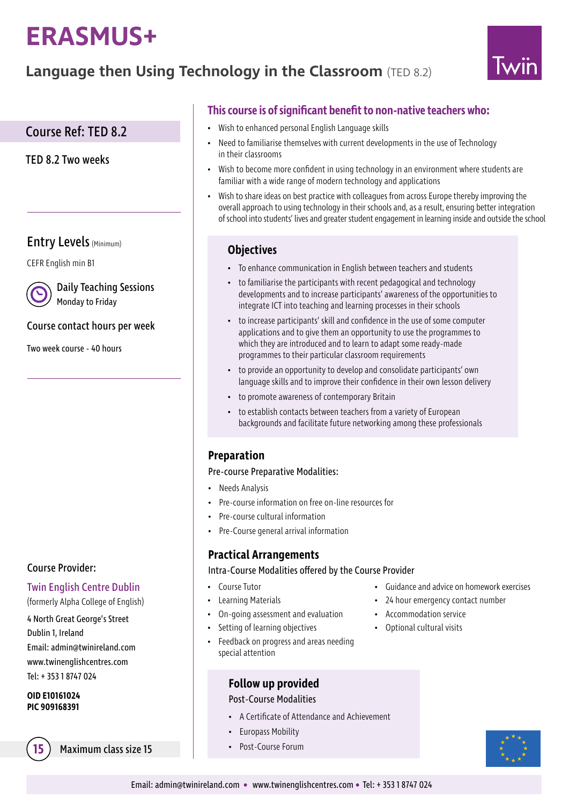# **ERASMUS+**

# **Language then Using Technology in the Classroom** (TED 8.2)



# Course Ref: TED 8.2

TED 8.2 Two weeks

# Entry Levels (Minimum)

CEFR English min B1

Daily Teaching Sessions Monday to Friday

#### Course contact hours per week

Two week course - 40 hours

## Course Provider:

#### Twin English Centre Dublin

(formerly Alpha College of English)

4 North Great George's Street Dublin 1, Ireland Email: admin@twinireland.com www.twinenglishcentres.com Tel: + 353 1 8747 024

#### **OID E10161024 PIC 909168391**

Maximum class size 15 **·** Post-Course Forum

# **This course is of significant benefit to non-native teachers who:**

- Wish to enhanced personal English Language skills
- Need to familiarise themselves with current developments in the use of Technology in their classrooms
- Wish to become more confident in using technology in an environment where students are familiar with a wide range of modern technology and applications
- Wish to share ideas on best practice with colleagues from across Europe thereby improving the overall approach to using technology in their schools and, as a result, ensuring better integration of school into students' lives and greater student engagement in learning inside and outside the school

## **Objectives**

- To enhance communication in English between teachers and students
- to familiarise the participants with recent pedagogical and technology developments and to increase participants' awareness of the opportunities to integrate ICT into teaching and learning processes in their schools
- to increase participants' skill and confidence in the use of some computer applications and to give them an opportunity to use the programmes to which they are introduced and to learn to adapt some ready-made programmes to their particular classroom requirements
- to provide an opportunity to develop and consolidate participants' own language skills and to improve their confidence in their own lesson delivery
- to promote awareness of contemporary Britain
- to establish contacts between teachers from a variety of European backgrounds and facilitate future networking among these professionals

## **Preparation**

#### Pre-course Preparative Modalities:

- Needs Analysis
- Pre-course information on free on-line resources for
- Pre-course cultural information
- Pre-Course general arrival information

## **Practical Arrangements**

Intra-Course Modalities offered by the Course Provider

- Course Tutor
- Learning Materials
- On-going assessment and evaluation
- Setting of learning objectives
- Feedback on progress and areas needing special attention

## **Follow up provided**

#### Post-Course Modalities

- A Certificate of Attendance and Achievement
- Europass Mobility
- 
- Guidance and advice on homework exercises
- 24 hour emergency contact number
- Accommodation service
- Optional cultural visits

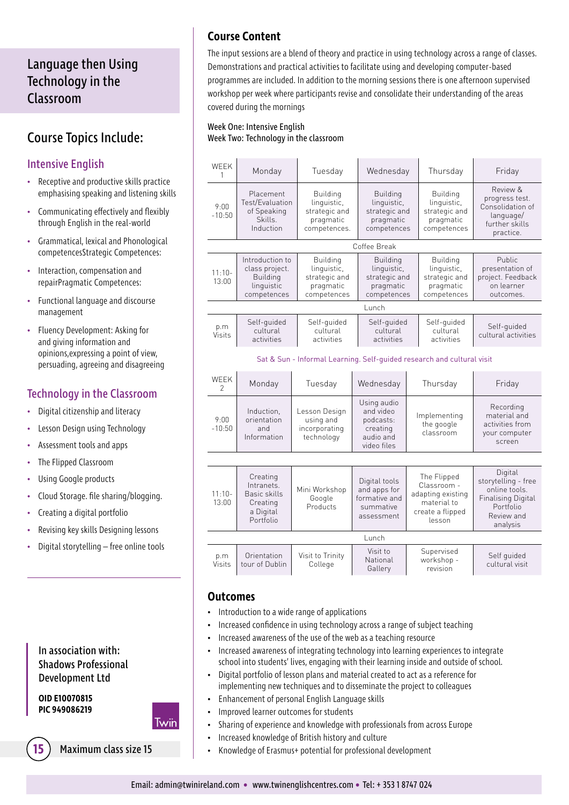# Language then Using Technology in the Classroom

# Course Topics Include:

# Intensive English

- Receptive and productive skills practice emphasising speaking and listening skills
- Communicating effectively and flexibly through English in the real-world
- Grammatical, lexical and Phonological competencesStrategic Competences:
- Interaction, compensation and repairPragmatic Competences:
- Functional language and discourse management
- Fluency Development: Asking for and giving information and opinions,expressing a point of view, persuading, agreeing and disagreeing

# Technology in the Classroom

- Digital citizenship and literacy
- Lesson Design using Technology
- Assessment tools and apps
- The Flipped Classroom
- Using Google products
- Cloud Storage. file sharing/blogging.
- Creating a digital portfolio
- Revising key skills Designing lessons
- Digital storytelling free online tools

## In association with: Shadows Professional Development Ltd

**OID E10070815 PIC 949086219**



| <b>15</b> ) Maximum class size 15 |  |
|-----------------------------------|--|
|                                   |  |

# **Course Content**

The input sessions are a blend of theory and practice in using technology across a range of classes. Demonstrations and practical activities to facilitate using and developing computer-based programmes are included. In addition to the morning sessions there is one afternoon supervised workshop per week where participants revise and consolidate their understanding of the areas covered during the mornings

#### Week One: Intensive English Week Two: Technology in the classroom

| <b>WFFK</b><br>1                                                       | Monday                                                                            | Tuesday                                                                      | Wednesday                                                                     |  | Thursday                                                                                     | Friday                                                                                                              |
|------------------------------------------------------------------------|-----------------------------------------------------------------------------------|------------------------------------------------------------------------------|-------------------------------------------------------------------------------|--|----------------------------------------------------------------------------------------------|---------------------------------------------------------------------------------------------------------------------|
| 9:00<br>$-10:50$                                                       | Placement<br>Test/Evaluation<br>of Speaking<br>Skills.<br>Induction               | <b>Building</b><br>linguistic,<br>strategic and<br>pragmatic<br>competences. | <b>Building</b><br>linguistic,<br>strategic and<br>pragmatic<br>competences   |  | <b>Building</b><br>linguistic,<br>strategic and<br>pragmatic<br>competences                  | Review &<br>progress test.<br>Consolidation of<br>language/<br>further skills<br>practice.                          |
|                                                                        |                                                                                   |                                                                              | Coffee Break                                                                  |  |                                                                                              |                                                                                                                     |
| $11:10-$<br>13:00                                                      | Introduction to<br>class project.<br><b>Building</b><br>linguistic<br>competences | <b>Building</b><br>linguistic,<br>strategic and<br>pragmatic<br>competences  | <b>Building</b><br>linguistic,<br>strategic and<br>pragmatic<br>competences   |  | <b>Building</b><br>linguistic,<br>strategic and<br>pragmatic<br>competences                  | Public<br>presentation of<br>project. Feedback<br>on learner<br>outcomes.                                           |
| Lunch                                                                  |                                                                                   |                                                                              |                                                                               |  |                                                                                              |                                                                                                                     |
| p.m<br><b>Visits</b>                                                   | Self-quided<br>cultural<br>activities                                             | Self-quided<br>cultural<br>activities                                        | Self-quided<br>cultural<br>activities                                         |  | Self-quided<br>cultural<br>activities                                                        | Self-quided<br>cultural activities                                                                                  |
| Sat & Sun - Informal Learning. Self-quided research and cultural visit |                                                                                   |                                                                              |                                                                               |  |                                                                                              |                                                                                                                     |
| <b>WEEK</b><br>$\mathcal{P}$                                           | Monday                                                                            | Tuesday                                                                      | Wednesday                                                                     |  | Thursday                                                                                     | Friday                                                                                                              |
| 9:00<br>$-10:50$                                                       | Induction,<br>orientation<br>and<br>Information                                   | Lesson Design<br>using and<br>incorporating<br>technology                    | Using audio<br>and video<br>podcasts:<br>creating<br>audio and<br>video files |  | Implementing<br>the google<br>classroom                                                      | Recording<br>material and<br>activities from<br>your computer<br>screen                                             |
|                                                                        |                                                                                   |                                                                              |                                                                               |  |                                                                                              |                                                                                                                     |
| $11:10-$<br>13:00                                                      | Creating<br>Intranets.<br>Basic skills<br>Creating<br>a Digital<br>Portfolio      | Mini Workshop<br>Google<br>Products                                          | Digital tools<br>and apps for<br>formative and<br>summative<br>assessment     |  | The Flipped<br>Classroom -<br>adapting existing<br>material to<br>create a flipped<br>lesson | Digital<br>storytelling - free<br>online tools.<br><b>Finalising Digital</b><br>Portfolio<br>Review and<br>analysis |
| Lunch                                                                  |                                                                                   |                                                                              |                                                                               |  |                                                                                              |                                                                                                                     |
| p.m<br>Visits                                                          | Orientation<br>tour of Dublin                                                     | Visit to Trinity<br>College                                                  | Visit to<br>National<br>Gallery                                               |  | Supervised<br>workshop -<br>revision                                                         | Self quided<br>cultural visit                                                                                       |

#### **Outcomes**

- Introduction to a wide range of applications
- Increased confidence in using technology across a range of subject teaching
- Increased awareness of the use of the web as a teaching resource
- Increased awareness of integrating technology into learning experiences to integrate school into students' lives, engaging with their learning inside and outside of school.
- Digital portfolio of lesson plans and material created to act as a reference for implementing new techniques and to disseminate the project to colleagues
- Enhancement of personal English Language skills
- Improved learner outcomes for students
- Sharing of experience and knowledge with professionals from across Europe
- Increased knowledge of British history and culture
- Knowledge of Erasmus+ potential for professional development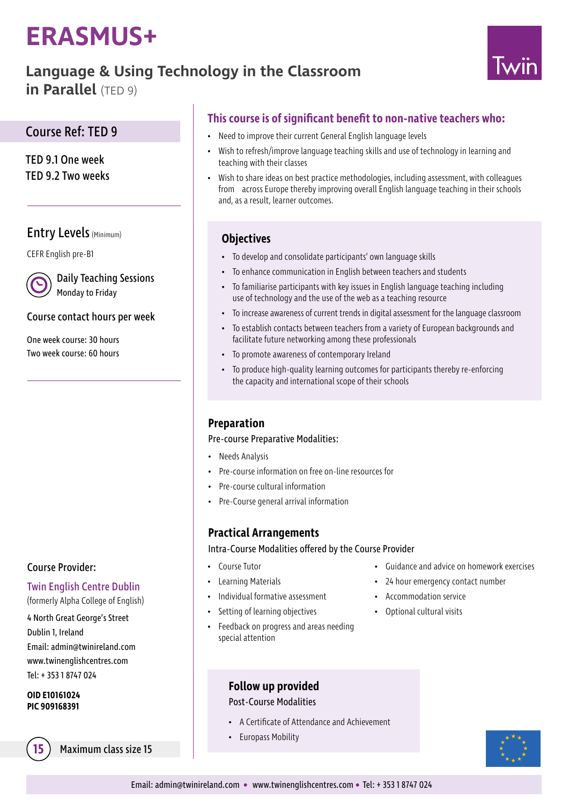# **ERASMUS+**

# **Language & Using Technology in the Classroom**

**in Parallel** (TED 9)



# Course Ref: TED 9

TED 9.1 One week TED 9.2 Two weeks

# Entry Levels (Minimum)

CEFR English pre-B1

Daily Teaching Sessions Monday to Friday

# Course contact hours per week

One week course: 30 hours Two week course: 60 hours

## Course Provider:

## Twin English Centre Dublin

(formerly Alpha College of English)

4 North Great George's Street Dublin 1, Ireland Email: admin@twinireland.com www.twinenglishcentres.com Tel: + 353 1 8747 024

#### **OID E10161024 PIC 909168391**

**15** Maximum class size 15

# **This course is of significant benefit to non-native teachers who:**

- Need to improve their current General English language levels
- Wish to refresh/improve language teaching skills and use of technology in learning and teaching with their classes
- Wish to share ideas on best practice methodologies, including assessment, with colleagues from across Europe thereby improving overall English language teaching in their schools and, as a result, learner outcomes.

# **Objectives**

- To develop and consolidate participants' own language skills
- To enhance communication in English between teachers and students
- To familiarise participants with key issues in English language teaching including use of technology and the use of the web as a teaching resource
- To increase awareness of current trends in digital assessment for the language classroom
- To establish contacts between teachers from a variety of European backgrounds and facilitate future networking among these professionals
- To promote awareness of contemporary Ireland
- To produce high-quality learning outcomes for participants thereby re-enforcing the capacity and international scope of their schools

# **Preparation**

#### Pre-course Preparative Modalities:

- Needs Analysis
- Pre-course information on free on-line resources for
- Pre-course cultural information
- Pre-Course general arrival information

# **Practical Arrangements**

Intra-Course Modalities offered by the Course Provider

- Course Tutor
- Learning Materials
- Individual formative assessment
- Setting of learning objectives
- Feedback on progress and areas needing special attention
- Guidance and advice on homework exercises
- 24 hour emergency contact number
- Accommodation service
- Optional cultural visits
- **Follow up provided**

#### Post-Course Modalities

- A Certificate of Attendance and Achievement
- Europass Mobility